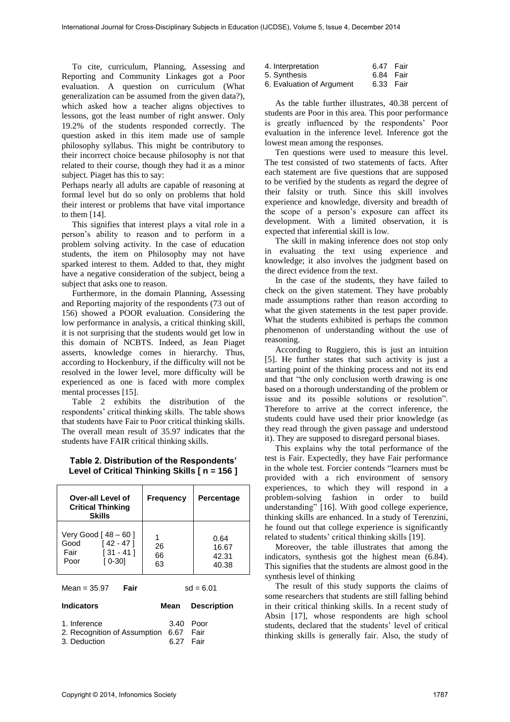To cite, curriculum, Planning, Assessing and Reporting and Community Linkages got a Poor evaluation. A question on curriculum (What generalization can be assumed from the given data?), which asked how a teacher aligns objectives to lessons, got the least number of right answer. Only 19.2% of the students responded correctly. The question asked in this item made use of sample philosophy syllabus. This might be contributory to their incorrect choice because philosophy is not that related to their course, though they had it as a minor subject. Piaget has this to say:

Perhaps nearly all adults are capable of reasoning at formal level but do so only on problems that hold their interest or problems that have vital importance to them [14].

This signifies that interest plays a vital role in a person's ability to reason and to perform in a problem solving activity. In the case of education students, the item on Philosophy may not have sparked interest to them. Added to that, they might have a negative consideration of the subject, being a subject that asks one to reason.

Furthermore, in the domain Planning, Assessing and Reporting majority of the respondents (73 out of 156) showed a POOR evaluation. Considering the low performance in analysis, a critical thinking skill, it is not surprising that the students would get low in this domain of NCBTS. Indeed, as Jean Piaget asserts, knowledge comes in hierarchy. Thus, according to Hockenbury, if the difficulty will not be resolved in the lower level, more difficulty will be experienced as one is faced with more complex mental processes [15].

Table 2 exhibits the distribution of the respondents' critical thinking skills. The table shows that students have Fair to Poor critical thinking skills. The overall mean result of 35.97 indicates that the students have FAIR critical thinking skills.

## **Table 2. Distribution of the Respondents' Level of Critical Thinking Skills [ n = 156 ]**

| Over-all Level of<br><b>Critical Thinking</b><br>Skills                              | <b>Frequency</b>    | Percentage                      |
|--------------------------------------------------------------------------------------|---------------------|---------------------------------|
| Very Good [ 48 – 60 ]<br>Good<br>[42 - 47]<br>$[31 - 41]$<br>Fair<br>[ 0-30]<br>Poor | 1<br>26<br>66<br>63 | 0.64<br>16.67<br>42.31<br>40.38 |
| Fair<br>Mean = $35.97$                                                               | $sd = 6.01$         |                                 |
| <b>Indicators</b>                                                                    | Mean                | <b>Description</b>              |
| 1. Inference                                                                         | 3.40                | Poor                            |

| 1. Inference                           | 3.40 Poor |  |
|----------------------------------------|-----------|--|
| 2. Recognition of Assumption 6.67 Fair |           |  |
| 3. Deduction                           | 6.27 Fair |  |

| 4. Interpretation | 6.47 Fair |  |
|-------------------|-----------|--|
|                   |           |  |

5. Synthesis 6.84 Fair<br>6. Evaluation of Argument 6.33 Fair

6. Evaluation of Argument

As the table further illustrates, 40.38 percent of students are Poor in this area. This poor performance is greatly influenced by the respondents' Poor evaluation in the inference level. Inference got the lowest mean among the responses.

Ten questions were used to measure this level. The test consisted of two statements of facts. After each statement are five questions that are supposed to be verified by the students as regard the degree of their falsity or truth. Since this skill involves experience and knowledge, diversity and breadth of the scope of a person's exposure can affect its development. With a limited observation, it is expected that inferential skill is low.

The skill in making inference does not stop only in evaluating the text using experience and knowledge; it also involves the judgment based on the direct evidence from the text.

In the case of the students, they have failed to check on the given statement. They have probably made assumptions rather than reason according to what the given statements in the test paper provide. What the students exhibited is perhaps the common phenomenon of understanding without the use of reasoning.

According to Ruggiero, this is just an intuition [5]. He further states that such activity is just a starting point of the thinking process and not its end and that "the only conclusion worth drawing is one based on a thorough understanding of the problem or issue and its possible solutions or resolution". Therefore to arrive at the correct inference, the students could have used their prior knowledge (as they read through the given passage and understood it). They are supposed to disregard personal biases.

This explains why the total performance of the test is Fair. Expectedly, they have Fair performance in the whole test. Forcier contends "learners must be provided with a rich environment of sensory experiences, to which they will respond in a problem-solving fashion in order to build understanding" [16]. With good college experience, thinking skills are enhanced. In a study of Terenzini, he found out that college experience is significantly related to students' critical thinking skills [19].

Moreover, the table illustrates that among the indicators, synthesis got the highest mean (6.84). This signifies that the students are almost good in the synthesis level of thinking

The result of this study supports the claims of some researchers that students are still falling behind in their critical thinking skills. In a recent study of Absin [17], whose respondents are high school students, declared that the students' level of critical thinking skills is generally fair. Also, the study of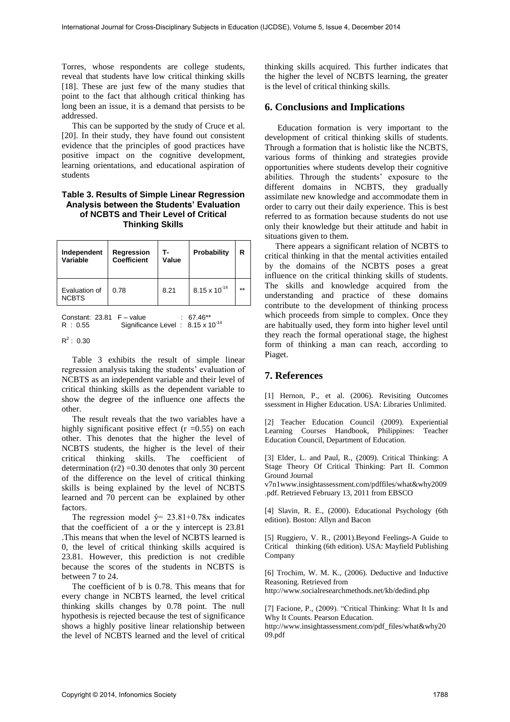Torres, whose respondents are college students, reveal that students have low critical thinking skills [18]. These are just few of the many studies that point to the fact that although critical thinking has long been an issue, it is a demand that persists to be addressed.

This can be supported by the study of Cruce et al. [20]. In their study, they have found out consistent evidence that the principles of good practices have positive impact on the cognitive development, learning orientations, and educational aspiration of students

## **Table 3. Results of Simple Linear Regression Analysis between the Students' Evaluation of NCBTS and Their Level of Critical Thinking Skills**

| Independent<br>Variable       | Regression<br><b>Coefficient</b> | Value | Probability            | R   |
|-------------------------------|----------------------------------|-------|------------------------|-----|
| Evaluation of<br><b>NCBTS</b> | 0.78                             | 8.21  | $8.15 \times 10^{-14}$ | $*$ |

Constant:  $23.81$  F – value :  $67.46**$ <br>R :  $0.55$  Significance Level :  $8.15 \times 1$ 

Significance Level : 8.15 x 10<sup>-14</sup>

 $R^2$ : 0.30

Table 3 exhibits the result of simple linear regression analysis taking the students' evaluation of NCBTS as an independent variable and their level of critical thinking skills as the dependent variable to show the degree of the influence one affects the other.

The result reveals that the two variables have a highly significant positive effect  $(r = 0.55)$  on each other. This denotes that the higher the level of NCBTS students, the higher is the level of their critical thinking skills. The coefficient of determination  $(r2) = 0.30$  denotes that only 30 percent of the difference on the level of critical thinking skills is being explained by the level of NCBTS learned and 70 percent can be explained by other factors.

The regression model  $\hat{y} = 23.81 \pm 0.78x$  indicates that the coefficient of a or the y intercept is 23.81 .This means that when the level of NCBTS learned is 0, the level of critical thinking skills acquired is 23.81. However, this prediction is not credible because the scores of the students in NCBTS is between 7 to 24.

The coefficient of b is 0.78. This means that for every change in NCBTS learned, the level critical thinking skills changes by 0.78 point. The null hypothesis is rejected because the test of significance shows a highly positive linear relationship between the level of NCBTS learned and the level of critical

thinking skills acquired. This further indicates that the higher the level of NCBTS learning, the greater is the level of critical thinking skills.

## **6. Conclusions and Implications**

 Education formation is very important to the development of critical thinking skills of students. Through a formation that is holistic like the NCBTS, various forms of thinking and strategies provide opportunities where students develop their cognitive abilities. Through the students' exposure to the different domains in NCBTS, they gradually assimilate new knowledge and accommodate them in order to carry out their daily experience. This is best referred to as formation because students do not use only their knowledge but their attitude and habit in situations given to them.

There appears a significant relation of NCBTS to critical thinking in that the mental activities entailed by the domains of the NCBTS poses a great influence on the critical thinking skills of students. The skills and knowledge acquired from the understanding and practice of these domains contribute to the development of thinking process which proceeds from simple to complex. Once they are habitually used, they form into higher level until they reach the formal operational stage, the highest form of thinking a man can reach, according to Piaget.

## **7. References**

[1] Hernon, P., et al. (2006). Revisiting Outcomes ssessment in Higher Education. USA: Libraries Unlimited.

[2] Teacher Education Council (2009). Experiential Learning Courses Handbook, Philippines: Teacher Education Council, Department of Education.

[3] Elder, L. and Paul, R., (2009). Critical Thinking: A Stage Theory Of Critical Thinking: Part II. Common Ground Journal

v7n1www.insightassessment.com/pdffiles/what&why2009 .pdf. Retrieved February 13, 2011 from EBSCO

[4] Slavin, R. E., (2000). Educational Psychology (6th edition). Boston: Allyn and Bacon

[5] Ruggiero, V. R., (2001).Beyond Feelings-A Guide to Critical thinking (6th edition). USA: Mayfield Publishing Company

[6] Trochim, W. M. K., (2006). Deductive and Inductive Reasoning. Retrieved from

http://www.socialresearchmethods.net/kb/dedind.php

[7] Facione, P., (2009). "Critical Thinking: What It Is and Why It Counts. Pearson Education.

http://www.insightassessment.com/pdf\_files/what&why20 09.pdf